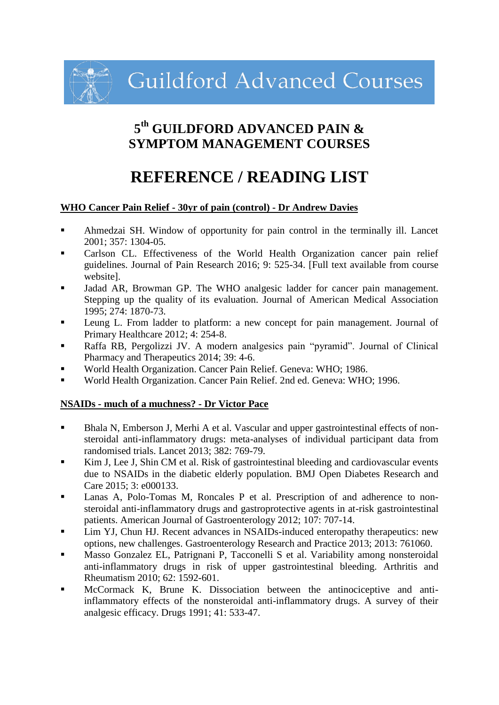**Guildford Advanced Courses** 

# **5 th GUILDFORD ADVANCED PAIN & SYMPTOM MANAGEMENT COURSES**

# **REFERENCE / READING LIST**

#### **WHO Cancer Pain Relief - 30yr of pain (control) - Dr Andrew Davies**

- Ahmedzai SH. Window of opportunity for pain control in the terminally ill. Lancet 2001; 357: 1304-05.
- Carlson CL. Effectiveness of the World Health Organization cancer pain relief guidelines. Journal of Pain Research 2016; 9: 525-34. [Full text available from course website].
- Jadad AR, Browman GP. The WHO analgesic ladder for cancer pain management. Stepping up the quality of its evaluation. Journal of American Medical Association 1995; 274: 1870-73.
- Leung L. From ladder to platform: a new concept for pain management. Journal of Primary Healthcare 2012; 4: 254-8.
- Raffa RB, Pergolizzi JV. A modern analgesics pain "pyramid". Journal of Clinical Pharmacy and Therapeutics 2014; 39: 4-6.
- World Health Organization. Cancer Pain Relief. Geneva: WHO; 1986.
- World Health Organization. Cancer Pain Relief. 2nd ed. Geneva: WHO; 1996.

# **NSAIDs - much of a muchness? - Dr Victor Pace**

- Bhala N, Emberson J, Merhi A et al. Vascular and upper gastrointestinal effects of nonsteroidal anti-inflammatory drugs: meta-analyses of individual participant data from randomised trials. Lancet 2013; 382: 769-79.
- Kim J, Lee J, Shin CM et al. Risk of gastrointestinal bleeding and cardiovascular events due to NSAIDs in the diabetic elderly population. BMJ Open Diabetes Research and Care 2015; 3: e000133.
- Lanas A, Polo-Tomas M, Roncales P et al. Prescription of and adherence to nonsteroidal anti-inflammatory drugs and gastroprotective agents in at-risk gastrointestinal patients. American Journal of Gastroenterology 2012; 107: 707-14.
- Lim YJ, Chun HJ. Recent advances in NSAIDs-induced enteropathy therapeutics: new options, new challenges. Gastroenterology Research and Practice 2013; 2013: 761060.
- Masso Gonzalez EL, Patrignani P, Tacconelli S et al. Variability among nonsteroidal anti-inflammatory drugs in risk of upper gastrointestinal bleeding. Arthritis and Rheumatism 2010; 62: 1592-601.
- McCormack K, Brune K. Dissociation between the antinociceptive and antiinflammatory effects of the nonsteroidal anti-inflammatory drugs. A survey of their analgesic efficacy. Drugs 1991; 41: 533-47.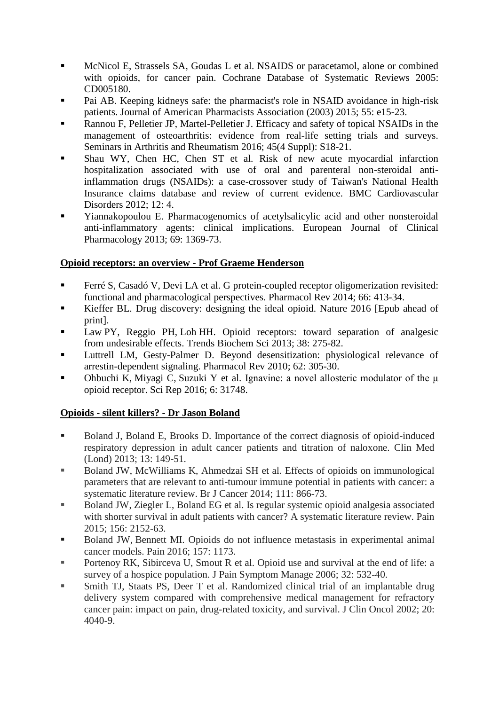- McNicol E, Strassels SA, Goudas L et al. NSAIDS or paracetamol, alone or combined with opioids, for cancer pain. Cochrane Database of Systematic Reviews 2005: CD005180.
- Pai AB. Keeping kidneys safe: the pharmacist's role in NSAID avoidance in high-risk patients. Journal of American Pharmacists Association (2003) 2015; 55: e15-23.
- Rannou F, Pelletier JP, Martel-Pelletier J. Efficacy and safety of topical NSAIDs in the management of osteoarthritis: evidence from real-life setting trials and surveys. Seminars in Arthritis and Rheumatism 2016; 45(4 Suppl): S18-21.
- Shau WY, Chen HC, Chen ST et al. Risk of new acute myocardial infarction hospitalization associated with use of oral and parenteral non-steroidal antiinflammation drugs (NSAIDs): a case-crossover study of Taiwan's National Health Insurance claims database and review of current evidence. BMC Cardiovascular Disorders 2012; 12: 4.
- Yiannakopoulou E. Pharmacogenomics of acetylsalicylic acid and other nonsteroidal anti-inflammatory agents: clinical implications. European Journal of Clinical Pharmacology 2013; 69: 1369-73.

# **Opioid receptors: an overview - Prof Graeme Henderson**

- [Ferré S,](http://www.ncbi.nlm.nih.gov/pubmed/?term=Ferr%C3%A9%20S%5BAuthor%5D&cauthor=true&cauthor_uid=24515647) [Casadó V,](http://www.ncbi.nlm.nih.gov/pubmed/?term=Casad%C3%B3%20V%5BAuthor%5D&cauthor=true&cauthor_uid=24515647) [Devi LA](http://www.ncbi.nlm.nih.gov/pubmed/?term=Devi%20LA%5BAuthor%5D&cauthor=true&cauthor_uid=24515647) et al. G protein-coupled receptor oligomerization revisited: functional and pharmacological perspectives. [Pharmacol Rev](http://www.ncbi.nlm.nih.gov/pubmed/24515647) 2014; 66: 413-34.
- Kieffer BL. [Drug discovery: designing the ideal opioid.](http://www.ncbi.nlm.nih.gov/pubmed/27533037) Nature 2016 [Epub ahead of print].
- Law PY, Reggio PH, Loh HH. [Opioid receptors: toward separation of analgesic](http://www.ncbi.nlm.nih.gov/pubmed/23598157)  from [undesirable](http://www.ncbi.nlm.nih.gov/pubmed/23598157) effects. Trends Biochem Sci 2013; 38: 275-82.
- Luttrell LM, Gesty-Palmer D. [Beyond desensitization: physiological relevance of](http://www.ncbi.nlm.nih.gov/pubmed/20427692)  [arrestin-dependent signaling.](http://www.ncbi.nlm.nih.gov/pubmed/20427692) Pharmacol Rev 2010; 62: 305-30.
- [Ohbuchi K,](http://www.ncbi.nlm.nih.gov/pubmed/?term=Ohbuchi%20K%5BAuthor%5D&cauthor=true&cauthor_uid=27530869) [Miyagi C,](http://www.ncbi.nlm.nih.gov/pubmed/?term=Miyagi%20C%5BAuthor%5D&cauthor=true&cauthor_uid=27530869) [Suzuki Y](http://www.ncbi.nlm.nih.gov/pubmed/?term=Suzuki%20Y%5BAuthor%5D&cauthor=true&cauthor_uid=27530869) et al. Ignavine: a novel allosteric modulator of the μ opioid receptor. [Sci Rep](http://www.ncbi.nlm.nih.gov/pubmed/27530869) 2016; 6: 31748.

# **Opioids - silent killers? - Dr Jason Boland**

- Boland J, Boland E, Brooks D. Importance of the correct diagnosis of opioid-induced respiratory depression in adult cancer patients and titration of naloxone. Clin Med (Lond) 2013; 13: 149-51.
- Boland JW, McWilliams K, Ahmedzai SH et al. Effects of opioids on immunological parameters that are relevant to anti-tumour immune potential in patients with cancer: a systematic literature review. Br J Cancer 2014; 111: 866-73.
- Boland JW, Ziegler L, Boland EG et al. Is regular systemic opioid analgesia associated with shorter survival in adult patients with cancer? A systematic literature review. Pain 2015; 156: 2152-63.
- Boland JW, Bennett MI. Opioids do not influence metastasis in experimental animal cancer models. Pain 2016; 157: 1173.
- **Portenoy RK, Sibirceva U, Smout R et al. Opioid use and survival at the end of life: a** survey of a hospice population. J Pain Symptom Manage 2006; 32: 532-40.
- Smith TJ, Staats PS, Deer T et al. Randomized clinical trial of an implantable drug delivery system compared with comprehensive medical management for refractory cancer pain: impact on pain, drug-related toxicity, and survival. J Clin Oncol 2002; 20: 4040-9.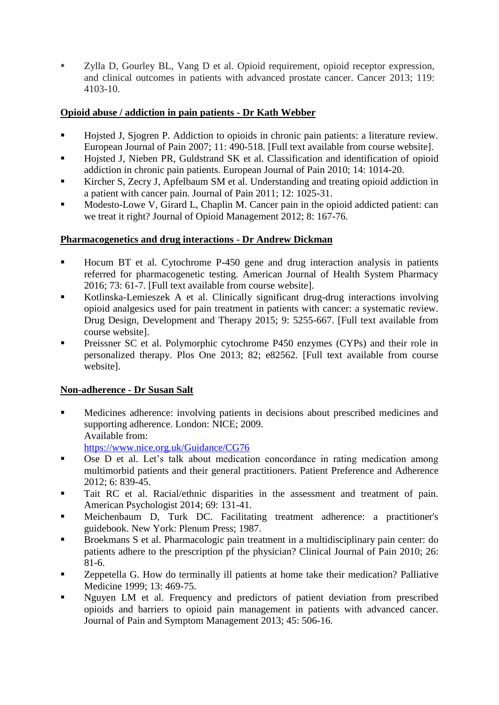■ Zylla D, Gourley BL, Vang D et al. Opioid requirement, opioid receptor expression, and clinical outcomes in patients with advanced prostate cancer. Cancer 2013; 119: 4103-10.

# **Opioid abuse / addiction in pain patients - Dr Kath Webber**

- Hojsted J, Sjogren P. Addiction to opioids in chronic pain patients: a literature review. European Journal of Pain 2007; 11: 490-518. [Full text available from course website].
- Hojsted J, Nieben PR, Guldstrand SK et al. Classification and identification of opioid addiction in chronic pain patients. European Journal of Pain 2010; 14: 1014-20.
- Kircher S, Zecry J, Apfelbaum SM et al. Understanding and treating opioid addiction in a patient with cancer pain. Journal of Pain 2011; 12: 1025-31.
- Modesto-Lowe V, Girard L, Chaplin M. Cancer pain in the opioid addicted patient: can we treat it right? Journal of Opioid Management 2012; 8: 167-76.

# **Pharmacogenetics and drug interactions - Dr Andrew Dickman**

- Hocum BT et al. Cytochrome P-450 gene and drug interaction analysis in patients referred for pharmacogenetic testing. American Journal of Health System Pharmacy 2016; 73: 61-7. [Full text available from course website].
- Kotlinska-Lemieszek A et al. Clinically significant drug-drug interactions involving opioid analgesics used for pain treatment in patients with cancer: a systematic review. Drug Design, Development and Therapy 2015; 9: 5255-667. [Full text available from course website].
- Preissner SC et al. Polymorphic cytochrome P450 enzymes (CYPs) and their role in personalized therapy. Plos One 2013; 82; e82562. [Full text available from course website].

# **Non-adherence - Dr Susan Salt**

- Medicines adherence: involving patients in decisions about prescribed medicines and supporting adherence. London: NICE; 2009. Available from: <https://www.nice.org.uk/Guidance/CG76>
- Ose D et al. Let's talk about medication concordance in rating medication among multimorbid patients and their general practitioners. Patient Preference and Adherence 2012; 6: 839-45.
- Tait RC et al. Racial/ethnic disparities in the assessment and treatment of pain. American Psychologist 2014; 69: 131-41.
- Meichenbaum D, Turk DC. Facilitating treatment adherence: a practitioner's guidebook. New York: Plenum Press; 1987.
- Broekmans S et al. Pharmacologic pain treatment in a multidisciplinary pain center: do patients adhere to the prescription pf the physician? Clinical Journal of Pain 2010; 26: 81-6.
- Zeppetella G. How do terminally ill patients at home take their medication? Palliative Medicine 1999; 13: 469-75.
- Nguyen LM et al. Frequency and predictors of patient deviation from prescribed opioids and barriers to opioid pain management in patients with advanced cancer. Journal of Pain and Symptom Management 2013; 45: 506-16.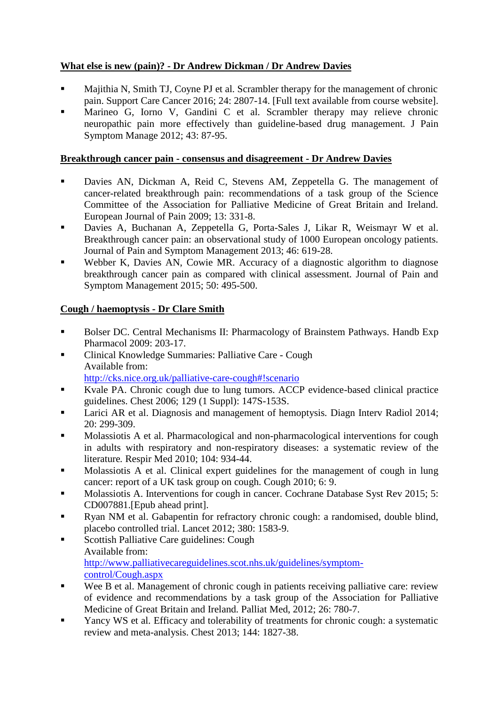# **What else is new (pain)? - Dr Andrew Dickman / Dr Andrew Davies**

- Majithia N, Smith TJ, Coyne PJ et al. Scrambler therapy for the management of chronic pain. Support Care Cancer 2016; 24: 2807-14. [Full text available from course website].
- Marineo G, Iorno V, Gandini C et al. Scrambler therapy may relieve chronic neuropathic pain more effectively than guideline-based drug management. J Pain Symptom Manage 2012; 43: 87-95.

#### **Breakthrough cancer pain - consensus and disagreement - Dr Andrew Davies**

- Davies AN, Dickman A, Reid C, Stevens AM, Zeppetella G. The management of cancer-related breakthrough pain: recommendations of a task group of the Science Committee of the Association for Palliative Medicine of Great Britain and Ireland. European Journal of Pain 2009; 13: 331-8.
- Davies A, Buchanan A, Zeppetella G, Porta-Sales J, Likar R, Weismayr W et al. Breakthrough cancer pain: an observational study of 1000 European oncology patients. Journal of Pain and Symptom Management 2013; 46: 619-28.
- Webber K, Davies AN, Cowie MR. Accuracy of a diagnostic algorithm to diagnose breakthrough cancer pain as compared with clinical assessment. Journal of Pain and Symptom Management 2015; 50: 495-500.

# **Cough / haemoptysis - Dr Clare Smith**

- Bolser DC. Central Mechanisms II: Pharmacology of Brainstem Pathways*.* Handb Exp Pharmacol 2009: 203-17.
- Clinical Knowledge Summaries: Palliative Care Cough Available from: <http://cks.nice.org.uk/palliative-care-cough#!scenario>
- Kvale PA. Chronic cough due to lung tumors. ACCP evidence-based clinical practice guidelines. Chest 2006; 129 (1 Suppl): 147S-153S.
- Larici AR et al. Diagnosis and management of hemoptysis*.* Diagn Interv Radiol 2014; 20: 299-309.
- Molassiotis A et al. Pharmacological and non-pharmacological interventions for cough in adults with respiratory and non-respiratory diseases: a systematic review of the literature*.* Respir Med 2010; 104: 934-44.
- Molassiotis A et al. Clinical expert guidelines for the management of cough in lung cancer: report of a UK task group on cough. Cough 2010; 6: 9.
- Molassiotis A. Interventions for cough in cancer. Cochrane Database Syst Rev 2015; 5: CD007881.[Epub ahead print].
- **Ryan NM** et al. Gabapentin for refractory chronic cough: a randomised, double blind, placebo controlled trial. Lancet 2012; 380: 1583-9.
- Scottish Palliative Care guidelines: Cough Available from: [http://www.palliativecareguidelines.scot.nhs.uk/guidelines/symptom](http://www.palliativecareguidelines.scot.nhs.uk/guidelines/symptom-control/Cough.aspx)[control/Cough.aspx](http://www.palliativecareguidelines.scot.nhs.uk/guidelines/symptom-control/Cough.aspx)
- Wee B et al. Management of chronic cough in patients receiving palliative care: review of evidence and recommendations by a task group of the Association for Palliative Medicine of Great Britain and Ireland*.* Palliat Med, 2012; 26: 780-7.
- Yancy WS et al. Efficacy and tolerability of treatments for chronic cough: a systematic review and meta-analysis. Chest 2013; 144: 1827-38.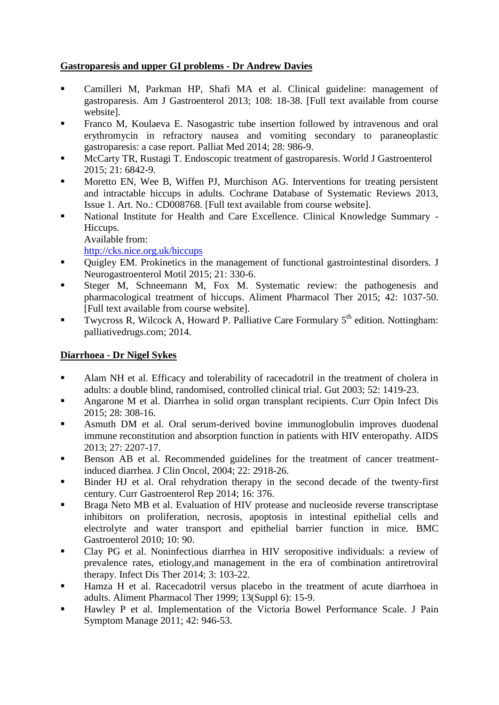# **Gastroparesis and upper GI problems - Dr Andrew Davies**

- Camilleri M, Parkman HP, Shafi MA et al. Clinical guideline: management of gastroparesis. Am J Gastroenterol 2013; 108: 18-38. [Full text available from course website].
- Franco M, Koulaeva E. Nasogastric tube insertion followed by intravenous and oral erythromycin in refractory nausea and vomiting secondary to paraneoplastic gastroparesis: a case report. Palliat Med 2014; 28: 986-9.
- McCarty TR, Rustagi T. Endoscopic treatment of gastroparesis. World J Gastroenterol 2015; 21: 6842-9.
- Moretto EN, Wee B, Wiffen PJ, Murchison AG. Interventions for treating persistent and intractable hiccups in adults. Cochrane Database of Systematic Reviews 2013, Issue 1. Art. No.: CD008768. [Full text available from course website].
- National Institute for Health and Care Excellence. Clinical Knowledge Summary Hiccups.
	- Available from:

<http://cks.nice.org.uk/hiccups>

- Ouigley EM. Prokinetics in the management of functional gastrointestinal disorders. J Neurogastroenterol Motil 2015; 21: 330-6.
- Steger M, Schneemann M, Fox M. Systematic review: the pathogenesis and pharmacological treatment of hiccups. Aliment Pharmacol Ther 2015; 42: 1037-50. [Full text available from course website].
- **Twycross R, Wilcock A, Howard P. Palliative Care Formulary**  $5<sup>th</sup>$  **edition. Nottingham:** palliativedrugs.com; 2014.

# **Diarrhoea - Dr Nigel Sykes**

- [Alam](http://gut.bmj.com/search?author1=N+H+Alam&sortspec=date&submit=Submit) NH et al. Efficacy and tolerability of racecadotril in the treatment of cholera in adults: a double blind, randomised, controlled clinical trial. Gut 2003; 52: 1419-23.
- Angarone M et al. Diarrhea in solid organ transplant recipients. Curr Opin Infect Dis 2015; 28: 308-16.
- Asmuth DM et al. Oral serum-derived bovine immunoglobulin improves duodenal immune reconstitution and absorption function in patients with HIV enteropathy. AIDS 2013; 27: 2207-17.
- Benson AB et al. Recommended guidelines for the treatment of cancer treatmentinduced diarrhea. J Clin Oncol, 2004; 22: 2918-26.
- Binder HJ et al. Oral rehydration therapy in the second decade of the twenty-first century. Curr Gastroenterol Rep 2014; 16: 376.
- [Braga Neto](http://www.ncbi.nlm.nih.gov/pubmed/?term=Braga%20Neto%20MB%5bAuthor%5d&cauthor=true&cauthor_uid=20701796) [MB et al.](http://www.ncbi.nlm.nih.gov/pubmed/?term=Braga%20Neto%20MB%5bAuthor%5d&cauthor=true&cauthor_uid=20701796) Evaluation of HIV protease and nucleoside reverse transcriptase inhibitors on proliferation, necrosis, apoptosis in intestinal epithelial cells and electrolyte and water transport and epithelial barrier function in mice. [BMC](http://www.ncbi.nlm.nih.gov/pubmed/20701796)  [Gastroenterol](http://www.ncbi.nlm.nih.gov/pubmed/20701796) 2010; 10: 90.
- Clay PG et al. Noninfectious diarrhea in HIV seropositive individuals: a review of prevalence rates, etiology,and management in the era of combination antiretroviral therapy. Infect Dis Ther 2014; 3: 103-22.
- [Hamza H](http://www.ncbi.nlm.nih.gov/pubmed/?term=Hamza%20H%5bAuthor%5d&cauthor=true&cauthor_uid=10646047) et al. Racecadotril versus placebo in the treatment of acute diarrhoea in adults. [Aliment Pharmacol](http://www.ncbi.nlm.nih.gov/pubmed/10646047) [Ther](http://www.ncbi.nlm.nih.gov/pubmed/10646047) 1999; 13(Suppl 6): 15-9.
- Hawley P et al. Implementation of the Victoria Bowel Performance Scale. J Pain Symptom Manage 2011; 42: 946-53.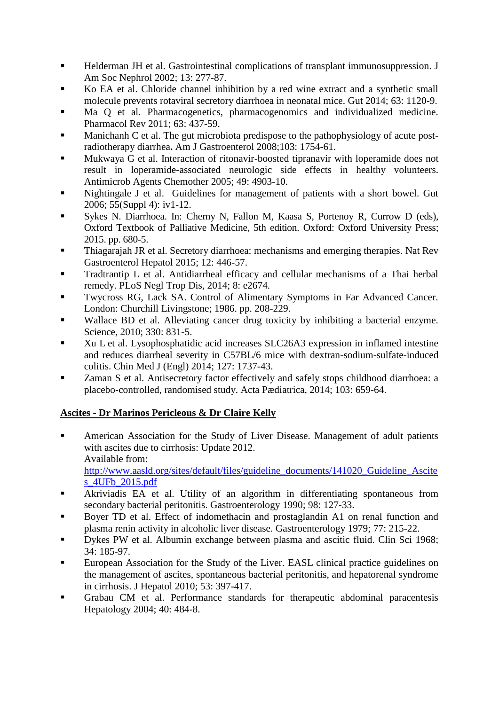- Helderman JH et al. Gastrointestinal complications of transplant immunosuppression. J Am Soc Nephrol 2002; 13: 277-87.
- Ko EA et al. Chloride channel inhibition by a red wine extract and a synthetic small molecule prevents rotaviral secretory diarrhoea in neonatal mice. Gut 2014; 63: 1120-9.
- Ma Q et al. Pharmacogenetics, pharmacogenomics and individualized medicine. Pharmacol Rev 2011; 63: 437-59.
- [Manichanh](http://www.ncbi.nlm.nih.gov/pubmed/?term=Manichanh%20C%5bAuthor%5d&cauthor=true&cauthor_uid=18564125) [C](http://www.ncbi.nlm.nih.gov/pubmed/?term=Manichanh%20C%5bAuthor%5d&cauthor=true&cauthor_uid=18564125) et al. The gut microbiota predispose to the pathophysiology of acute postradiotherapy diarrhea**.** [Am J Gastroenterol](http://www.ncbi.nlm.nih.gov/pubmed/18564125?dopt=Abstract) 2008;103: 1754-61.
- Mukwaya G et al. Interaction of ritonavir-boosted tipranavir with loperamide does not result in loperamide-associated neurologic side effects in healthy volunteers. Antimicrob Agents Chemother 2005; 49: 4903-10.
- Nightingale J et al. Guidelines for management of patients with a short bowel. Gut 2006; 55(Suppl 4): iv1-12.
- Sykes N. Diarrhoea. In: Cherny N, Fallon M, Kaasa S, Portenoy R, Currow D (eds), Oxford Textbook of Palliative Medicine, 5th edition. Oxford: Oxford University Press; 2015. pp. 680-5.
- Thiagarajah JR et al. Secretory diarrhoea: mechanisms and emerging therapies. Nat Rev Gastroenterol Hepatol 2015; 12: 446-57.
- Tradtrantip L et al. Antidiarrheal efficacy and cellular mechanisms of a Thai herbal remedy. [PLoS](http://www.ncbi.nlm.nih.gov/pubmed/24551253) [Negl](http://www.ncbi.nlm.nih.gov/pubmed/24551253) [Trop Dis,](http://www.ncbi.nlm.nih.gov/pubmed/24551253) 2014; 8: e2674.
- Twycross RG, Lack SA. Control of Alimentary Symptoms in Far Advanced Cancer. London: Churchill Livingstone; 1986. pp. 208-229.
- [Wallace BD](http://www.ncbi.nlm.nih.gov/pubmed/?term=Wallace%20BD%5BAuthor%5D&cauthor=true&cauthor_uid=21051639) et al. Alleviating cancer drug toxicity by inhibiting a bacterial enzyme. [Science,](http://www.ncbi.nlm.nih.gov/pubmed/21051639) 2010; 330: 831-5.
- [Xu L](http://www.ncbi.nlm.nih.gov/pubmed/?term=Xu%20L%5bAuthor%5d&cauthor=true&cauthor_uid=24791884) et al. Lysophosphatidic acid increases SLC26A3 expression in inflamed intestine and reduces diarrheal severity in C57BL/6 mice with dextran-sodium-sulfate-induced colitis. [Chin Med J \(Engl\)](http://www.ncbi.nlm.nih.gov/pubmed/24791884) 2014; 127: 1737-43.
- Zaman S et al. Antisecretory factor effectively and safely stops childhood diarrhoea: a placebo-controlled, randomised study. Acta Pædiatrica, 2014; 103: 659-64.

# **Ascites - Dr Marinos Pericleous & Dr Claire Kelly**

- American Association for the Study of Liver Disease. Management of adult patients with ascites due to cirrhosis: Update 2012. Available from: [http://www.aasld.org/sites/default/files/guideline\\_documents/141020\\_Guideline\\_Ascite](http://www.aasld.org/sites/default/files/guideline_documents/141020_Guideline_Ascites_4UFb_2015.pdf) [s\\_4UFb\\_2015.pdf](http://www.aasld.org/sites/default/files/guideline_documents/141020_Guideline_Ascites_4UFb_2015.pdf)
- Akriviadis EA et al. Utility of an algorithm in differentiating spontaneous from secondary bacterial peritonitis. Gastroenterology 1990; 98: 127-33.
- Boyer TD et al. Effect of indomethacin and prostaglandin A1 on renal function and plasma renin activity in alcoholic liver disease. Gastroenterology 1979; 77: 215-22.
- Dykes PW et al. Albumin exchange between plasma and ascitic fluid. Clin Sci 1968; 34: 185-97.
- European Association for the Study of the Liver. EASL clinical practice guidelines on the management of ascites, spontaneous bacterial peritonitis, and hepatorenal syndrome in cirrhosis. J Hepatol 2010; 53: 397-417.
- Grabau CM et al. Performance standards for therapeutic abdominal paracentesis Hepatology 2004; 40: 484-8.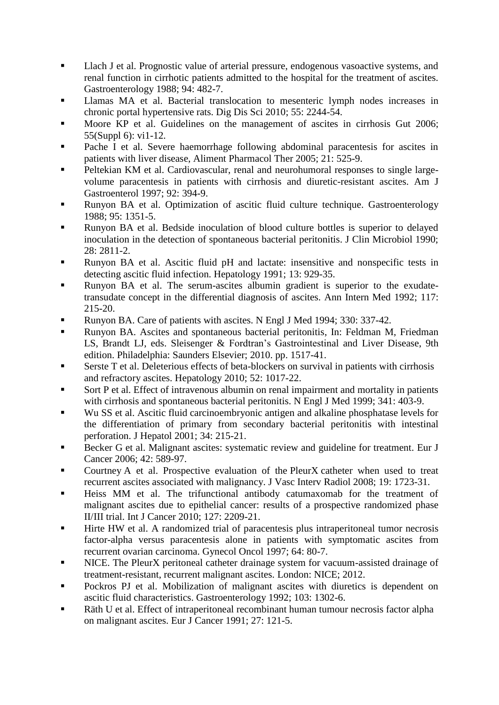- Llach J et al. Prognostic value of arterial pressure, endogenous vasoactive systems, and renal function in cirrhotic patients admitted to the hospital for the treatment of ascites. Gastroenterology 1988; 94: 482-7.
- Llamas MA et al. Bacterial translocation to mesenteric lymph nodes increases in chronic portal hypertensive rats. Dig Dis Sci 2010; 55: 2244-54.
- Moore KP et al. Guidelines on the management of ascites in cirrhosis Gut 2006; 55(Suppl 6): vi1-12.
- Pache I et al. Severe haemorrhage following abdominal paracentesis for ascites in patients with liver disease, Aliment Pharmacol Ther 2005; 21: 525-9.
- Peltekian KM et al. Cardiovascular, renal and neurohumoral responses to single largevolume paracentesis in patients with cirrhosis and diuretic-resistant ascites. Am J Gastroenterol 1997; 92: 394-9.
- Runyon BA et al. Optimization of ascitic fluid culture technique. Gastroenterology 1988; 95: 1351-5.
- Runyon BA et al. Bedside inoculation of blood culture bottles is superior to delayed inoculation in the detection of spontaneous bacterial peritonitis. J Clin Microbiol 1990; 28: 2811-2.
- Runyon BA et al. Ascitic fluid pH and lactate: insensitive and nonspecific tests in detecting ascitic fluid infection. Hepatology 1991; 13: 929-35.
- Runyon BA et al. The serum-ascites albumin gradient is superior to the exudatetransudate concept in the differential diagnosis of ascites. Ann Intern Med 1992; 117: 215-20.
- Runyon BA. Care of patients with ascites. N Engl J Med 1994; 330: 337-42.
- Runyon BA. Ascites and spontaneous bacterial peritonitis, In: Feldman M, Friedman LS, Brandt LJ, eds. Sleisenger & Fordtran's Gastrointestinal and Liver Disease, 9th edition. Philadelphia: Saunders Elsevier; 2010. pp. 1517-41.
- Serste T et al. Deleterious effects of beta-blockers on survival in patients with cirrhosis and refractory ascites. Hepatology 2010; 52: 1017-22.
- Sort P et al. Effect of intravenous albumin on renal impairment and mortality in patients with cirrhosis and spontaneous bacterial peritonitis. N Engl J Med 1999; 341: 403-9.
- Wu SS et al. Ascitic fluid carcinoembryonic antigen and alkaline phosphatase levels for the differentiation of primary from secondary bacterial peritonitis with intestinal perforation. J Hepatol 2001; 34: 215-21.
- Becker G et al. Malignant ascites: systematic review and guideline for treatment. Eur J Cancer 2006; 42: 589-97.
- Courtney A et al. Prospective evaluation of the PleurX catheter when used to treat recurrent ascites associated with malignancy. J Vasc Interv Radiol 2008; 19: 1723-31.
- Heiss MM et al. The trifunctional antibody catumaxomab for the treatment of malignant ascites due to epithelial cancer: results of a prospective randomized phase II/III trial. Int J Cancer 2010; 127: 2209-21.
- Hirte HW et al. A randomized trial of paracentesis plus intraperitoneal tumor necrosis factor-alpha versus paracentesis alone in patients with symptomatic ascites from recurrent ovarian carcinoma. Gynecol Oncol 1997; 64: 80-7.
- I NICE. The PleurX peritoneal catheter drainage system for vacuum-assisted drainage of treatment-resistant, recurrent malignant ascites. London: NICE; 2012.
- Pockros PJ et al. Mobilization of malignant ascites with diuretics is dependent on ascitic fluid characteristics. Gastroenterology 1992; 103: 1302-6.
- Räth U et al. Effect of intraperitoneal recombinant human tumour necrosis factor alpha on malignant ascites. Eur J Cancer 1991; 27: 121-5.